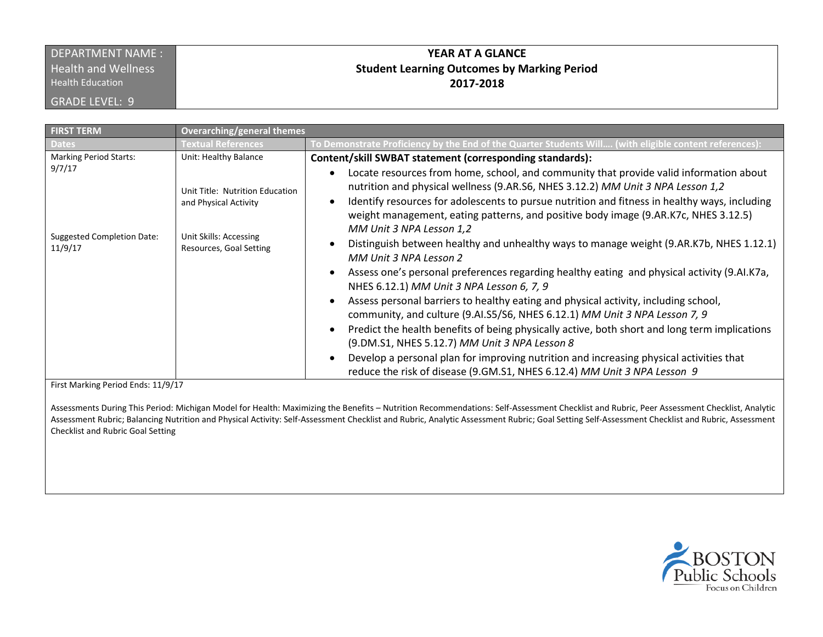## DEPARTMENT NAME : **Health and Wellness**

Health Education

GRADE LEVEL: 9

## **YEAR AT A GLANCE Student Learning Outcomes by Marking Period 2017-2018**

| <b>FIRST TERM</b>                                      | <b>Overarching/general themes</b>                                                                             |                                                                                                                                                                                                                                                                                                                                                                                                                                                                                                                                                                                                                                                                                                                                                                                                                                                                                                                                                                                                                                                                                                                                                              |
|--------------------------------------------------------|---------------------------------------------------------------------------------------------------------------|--------------------------------------------------------------------------------------------------------------------------------------------------------------------------------------------------------------------------------------------------------------------------------------------------------------------------------------------------------------------------------------------------------------------------------------------------------------------------------------------------------------------------------------------------------------------------------------------------------------------------------------------------------------------------------------------------------------------------------------------------------------------------------------------------------------------------------------------------------------------------------------------------------------------------------------------------------------------------------------------------------------------------------------------------------------------------------------------------------------------------------------------------------------|
| <b>Dates</b>                                           | <b>Textual References</b>                                                                                     | To Demonstrate Proficiency by the End of the Quarter Students Will (with eligible content references):                                                                                                                                                                                                                                                                                                                                                                                                                                                                                                                                                                                                                                                                                                                                                                                                                                                                                                                                                                                                                                                       |
| <b>Marking Period Starts:</b>                          | Unit: Healthy Balance                                                                                         | Content/skill SWBAT statement (corresponding standards):                                                                                                                                                                                                                                                                                                                                                                                                                                                                                                                                                                                                                                                                                                                                                                                                                                                                                                                                                                                                                                                                                                     |
| 9/7/17<br><b>Suggested Completion Date:</b><br>11/9/17 | Unit Title: Nutrition Education<br>and Physical Activity<br>Unit Skills: Accessing<br>Resources, Goal Setting | Locate resources from home, school, and community that provide valid information about<br>nutrition and physical wellness (9.AR.S6, NHES 3.12.2) MM Unit 3 NPA Lesson 1,2<br>Identify resources for adolescents to pursue nutrition and fitness in healthy ways, including<br>weight management, eating patterns, and positive body image (9.AR.K7c, NHES 3.12.5)<br>MM Unit 3 NPA Lesson 1,2<br>Distinguish between healthy and unhealthy ways to manage weight (9.AR.K7b, NHES 1.12.1)<br>MM Unit 3 NPA Lesson 2<br>Assess one's personal preferences regarding healthy eating and physical activity (9.AI.K7a,<br>NHES 6.12.1) MM Unit 3 NPA Lesson 6, 7, 9<br>Assess personal barriers to healthy eating and physical activity, including school,<br>community, and culture (9.AI.S5/S6, NHES 6.12.1) MM Unit 3 NPA Lesson 7, 9<br>Predict the health benefits of being physically active, both short and long term implications<br>(9.DM.S1, NHES 5.12.7) MM Unit 3 NPA Lesson 8<br>Develop a personal plan for improving nutrition and increasing physical activities that<br>reduce the risk of disease (9.GM.S1, NHES 6.12.4) MM Unit 3 NPA Lesson 9 |
|                                                        |                                                                                                               |                                                                                                                                                                                                                                                                                                                                                                                                                                                                                                                                                                                                                                                                                                                                                                                                                                                                                                                                                                                                                                                                                                                                                              |

First Marking Period Ends: 11/9/17

Assessments During This Period: Michigan Model for Health: Maximizing the Benefits – Nutrition Recommendations: Self-Assessment Checklist and Rubric, Peer Assessment Checklist, Analytic Assessment Rubric; Balancing Nutrition and Physical Activity: Self-Assessment Checklist and Rubric, Analytic Assessment Rubric; Goal Setting Self-Assessment Checklist and Rubric, Assessment Checklist and Rubric Goal Setting

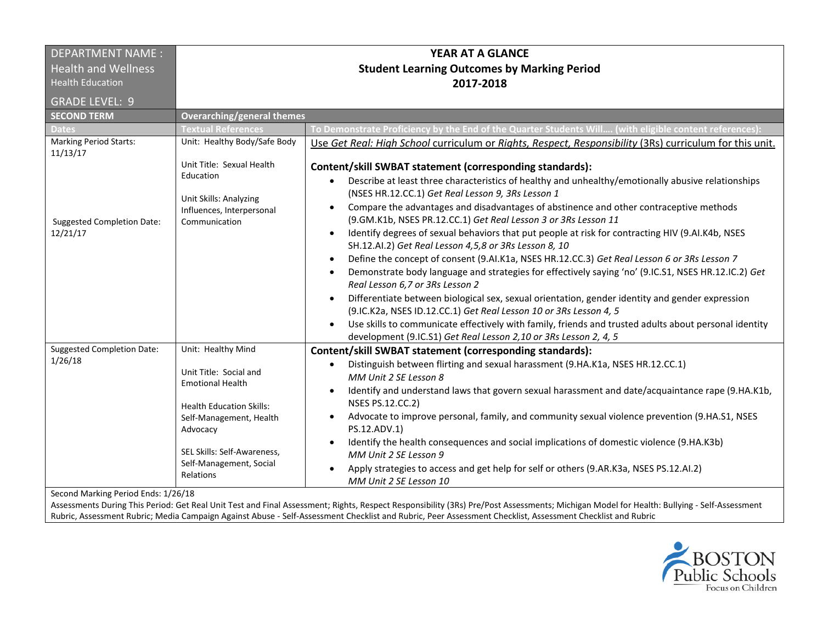| <b>DEPARTMENT NAME:</b>                                                             | YEAR AT A GLANCE                                                                                                                                                                                                         |                                                                                                                                                                                                                                                                                                                                                                                                                                                                                                                                                                                                                                                                                                                                                                                                                                                                                                                                                                                                                                                                                                                                                                                                |
|-------------------------------------------------------------------------------------|--------------------------------------------------------------------------------------------------------------------------------------------------------------------------------------------------------------------------|------------------------------------------------------------------------------------------------------------------------------------------------------------------------------------------------------------------------------------------------------------------------------------------------------------------------------------------------------------------------------------------------------------------------------------------------------------------------------------------------------------------------------------------------------------------------------------------------------------------------------------------------------------------------------------------------------------------------------------------------------------------------------------------------------------------------------------------------------------------------------------------------------------------------------------------------------------------------------------------------------------------------------------------------------------------------------------------------------------------------------------------------------------------------------------------------|
| <b>Health and Wellness</b>                                                          | <b>Student Learning Outcomes by Marking Period</b>                                                                                                                                                                       |                                                                                                                                                                                                                                                                                                                                                                                                                                                                                                                                                                                                                                                                                                                                                                                                                                                                                                                                                                                                                                                                                                                                                                                                |
| <b>Health Education</b>                                                             |                                                                                                                                                                                                                          | 2017-2018                                                                                                                                                                                                                                                                                                                                                                                                                                                                                                                                                                                                                                                                                                                                                                                                                                                                                                                                                                                                                                                                                                                                                                                      |
| <b>GRADE LEVEL: 9</b>                                                               |                                                                                                                                                                                                                          |                                                                                                                                                                                                                                                                                                                                                                                                                                                                                                                                                                                                                                                                                                                                                                                                                                                                                                                                                                                                                                                                                                                                                                                                |
| <b>SECOND TERM</b>                                                                  | <b>Overarching/general themes</b>                                                                                                                                                                                        |                                                                                                                                                                                                                                                                                                                                                                                                                                                                                                                                                                                                                                                                                                                                                                                                                                                                                                                                                                                                                                                                                                                                                                                                |
| <b>Dates</b>                                                                        | <b>Textual References</b>                                                                                                                                                                                                | To Demonstrate Proficiency by the End of the Quarter Students Will (with eligible content references)                                                                                                                                                                                                                                                                                                                                                                                                                                                                                                                                                                                                                                                                                                                                                                                                                                                                                                                                                                                                                                                                                          |
| <b>Marking Period Starts:</b><br>11/13/17                                           | Unit: Healthy Body/Safe Body                                                                                                                                                                                             | Use Get Real: High School curriculum or Rights, Respect, Responsibility (3Rs) curriculum for this unit.                                                                                                                                                                                                                                                                                                                                                                                                                                                                                                                                                                                                                                                                                                                                                                                                                                                                                                                                                                                                                                                                                        |
| <b>Suggested Completion Date:</b><br>12/21/17                                       | Unit Title: Sexual Health<br>Education<br>Unit Skills: Analyzing<br>Influences, Interpersonal<br>Communication                                                                                                           | Content/skill SWBAT statement (corresponding standards):<br>Describe at least three characteristics of healthy and unhealthy/emotionally abusive relationships<br>$\bullet$<br>(NSES HR.12.CC.1) Get Real Lesson 9, 3Rs Lesson 1<br>Compare the advantages and disadvantages of abstinence and other contraceptive methods<br>$\bullet$<br>(9.GM.K1b, NSES PR.12.CC.1) Get Real Lesson 3 or 3Rs Lesson 11<br>Identify degrees of sexual behaviors that put people at risk for contracting HIV (9.AI.K4b, NSES<br>SH.12.Al.2) Get Real Lesson 4,5,8 or 3Rs Lesson 8, 10<br>Define the concept of consent (9.AI.K1a, NSES HR.12.CC.3) Get Real Lesson 6 or 3Rs Lesson 7<br>$\bullet$<br>Demonstrate body language and strategies for effectively saying 'no' (9.IC.S1, NSES HR.12.IC.2) Get<br>Real Lesson 6,7 or 3Rs Lesson 2<br>Differentiate between biological sex, sexual orientation, gender identity and gender expression<br>(9.IC.K2a, NSES ID.12.CC.1) Get Real Lesson 10 or 3Rs Lesson 4, 5<br>Use skills to communicate effectively with family, friends and trusted adults about personal identity<br>$\bullet$<br>development (9.IC.S1) Get Real Lesson 2,10 or 3Rs Lesson 2, 4, 5 |
| <b>Suggested Completion Date:</b><br>1/26/18<br>Second Marking Period Ends: 1/26/18 | Unit: Healthy Mind<br>Unit Title: Social and<br><b>Emotional Health</b><br><b>Health Education Skills:</b><br>Self-Management, Health<br>Advocacy<br>SEL Skills: Self-Awareness.<br>Self-Management, Social<br>Relations | Content/skill SWBAT statement (corresponding standards):<br>Distinguish between flirting and sexual harassment (9.HA.K1a, NSES HR.12.CC.1)<br>$\bullet$<br>MM Unit 2 SE Lesson 8<br>Identify and understand laws that govern sexual harassment and date/acquaintance rape (9.HA.K1b,<br>$\bullet$<br><b>NSES PS.12.CC.2)</b><br>Advocate to improve personal, family, and community sexual violence prevention (9.HA.S1, NSES<br>$\bullet$<br>PS.12.ADV.1)<br>Identify the health consequences and social implications of domestic violence (9.HA.K3b)<br>MM Unit 2 SE Lesson 9<br>Apply strategies to access and get help for self or others (9.AR.K3a, NSES PS.12.AI.2)<br>MM Unit 2 SE Lesson 10                                                                                                                                                                                                                                                                                                                                                                                                                                                                                            |

Second Marking Period Ends: 1/26/18

Assessments During This Period: Get Real Unit Test and Final Assessment; Rights, Respect Responsibility (3Rs) Pre/Post Assessments; Michigan Model for Health: Bullying - Self-Assessment Rubric, Assessment Rubric; Media Campaign Against Abuse - Self-Assessment Checklist and Rubric, Peer Assessment Checklist, Assessment Checklist and Rubric

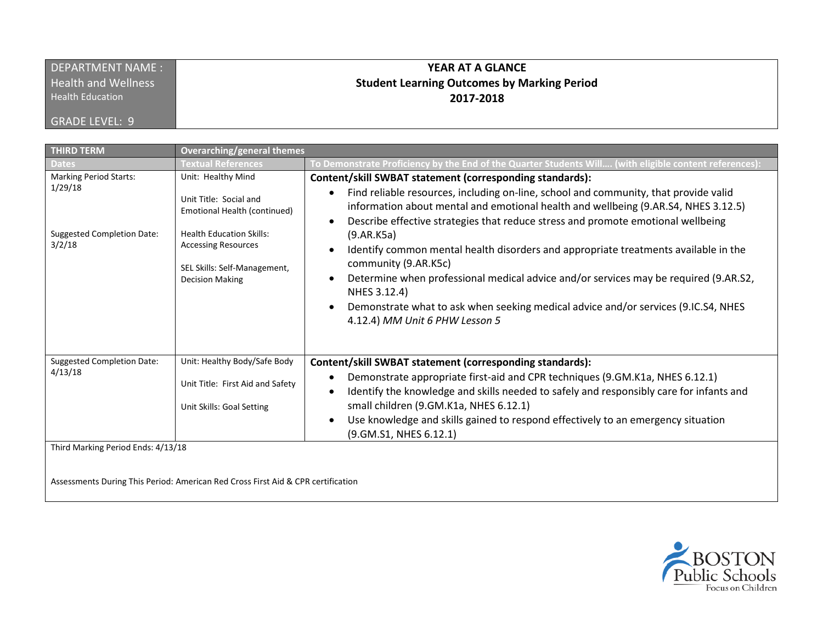| DEPARTMENT NAME:           | <b>YEAR AT A GLANCE</b>                            |
|----------------------------|----------------------------------------------------|
| <b>Health and Wellness</b> | <b>Student Learning Outcomes by Marking Period</b> |
| <b>Health Education</b>    | 2017-2018                                          |
| <b>GRADE LEVEL: 9</b>      |                                                    |

| <b>THIRD TERM</b>                                                                       | <b>Overarching/general themes</b>                                                                                                                                                                       |                                                                                                                                                                                                                                                                                                                                                                                                                                                                                                                                                                                                                                                                                                      |
|-----------------------------------------------------------------------------------------|---------------------------------------------------------------------------------------------------------------------------------------------------------------------------------------------------------|------------------------------------------------------------------------------------------------------------------------------------------------------------------------------------------------------------------------------------------------------------------------------------------------------------------------------------------------------------------------------------------------------------------------------------------------------------------------------------------------------------------------------------------------------------------------------------------------------------------------------------------------------------------------------------------------------|
| <b>Dates</b>                                                                            | <b>Textual References</b>                                                                                                                                                                               | To Demonstrate Proficiency by the End of the Quarter Students Will (with eligible content references)                                                                                                                                                                                                                                                                                                                                                                                                                                                                                                                                                                                                |
| <b>Marking Period Starts:</b><br>1/29/18<br><b>Suggested Completion Date:</b><br>3/2/18 | Unit: Healthy Mind<br>Unit Title: Social and<br>Emotional Health (continued)<br><b>Health Education Skills:</b><br><b>Accessing Resources</b><br>SEL Skills: Self-Management,<br><b>Decision Making</b> | Content/skill SWBAT statement (corresponding standards):<br>Find reliable resources, including on-line, school and community, that provide valid<br>$\bullet$<br>information about mental and emotional health and wellbeing (9.AR.S4, NHES 3.12.5)<br>Describe effective strategies that reduce stress and promote emotional wellbeing<br>(9.AR.K5a)<br>Identify common mental health disorders and appropriate treatments available in the<br>community (9.AR.K5c)<br>Determine when professional medical advice and/or services may be required (9.AR.S2,<br>NHES 3.12.4)<br>Demonstrate what to ask when seeking medical advice and/or services (9.IC.S4, NHES<br>4.12.4) MM Unit 6 PHW Lesson 5 |
| <b>Suggested Completion Date:</b><br>4/13/18<br>Third Marking Period Ends: 4/13/18      | Unit: Healthy Body/Safe Body<br>Unit Title: First Aid and Safety<br>Unit Skills: Goal Setting                                                                                                           | Content/skill SWBAT statement (corresponding standards):<br>Demonstrate appropriate first-aid and CPR techniques (9.GM.K1a, NHES 6.12.1)<br>Identify the knowledge and skills needed to safely and responsibly care for infants and<br>$\bullet$<br>small children (9.GM.K1a, NHES 6.12.1)<br>Use knowledge and skills gained to respond effectively to an emergency situation<br>(9. GM. S1, NHES 6.12.1)                                                                                                                                                                                                                                                                                           |
|                                                                                         |                                                                                                                                                                                                         |                                                                                                                                                                                                                                                                                                                                                                                                                                                                                                                                                                                                                                                                                                      |

Assessments During This Period: American Red Cross First Aid & CPR certification